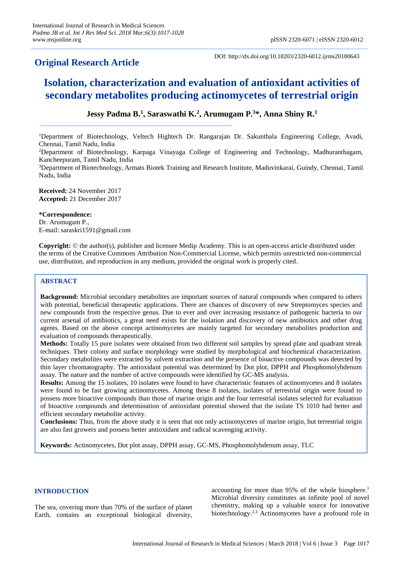# **Original Research Article**

DOI: http://dx.doi.org/10.18203/2320-6012.ijrms20180643

# **Isolation, characterization and evaluation of antioxidant activities of secondary metabolites producing actinomycetes of terrestrial origin**

# **Jessy Padma B. 1 , Saraswathi K. 2 , Arumugam P. <sup>3</sup>\*, Anna Shiny R. 1**

<sup>1</sup>Department of Biotechnology, Veltech Hightech Dr. Rangarajan Dr. Sakunthala Engineering College, Avadi, Chennai, Tamil Nadu, India

<sup>2</sup>Department of Biotechnology, Karpaga Vinayaga College of Engineering and Technology, Madhuranthagam, Kancheepuram, Tamil Nadu, India

<sup>3</sup>Department of Biotechnology, Armats Biotek Training and Research Institute, Maduvinkarai, Guindy, Chennai, Tamil Nadu, India

**Received:** 24 November 2017 **Accepted:** 21 December 2017

**\*Correspondence:** Dr. Arumugam P., E-mail: saraskri1591@gmail.com

**Copyright:** © the author(s), publisher and licensee Medip Academy. This is an open-access article distributed under the terms of the Creative Commons Attribution Non-Commercial License, which permits unrestricted non-commercial use, distribution, and reproduction in any medium, provided the original work is properly cited.

# **ABSTRACT**

**Background:** Microbial secondary metabolites are important sources of natural compounds when compared to others with potential, beneficial therapeutic applications. There are chances of discovery of new Streptomyces species and new compounds from the respective genus. Due to ever and over increasing resistance of pathogenic bacteria to our current arsenal of antibiotics, a great need exists for the isolation and discovery of new antibiotics and other drug agents. Based on the above concept actinomycetes are mainly targeted for secondary metabolites production and evaluation of compounds therapeutically.

**Methods:** Totally 15 pure isolates were obtained from two different soil samples by spread plate and quadrant streak techniques. Their colony and surface morphology were studied by morphological and biochemical characterization. Secondary metabolites were extracted by solvent extraction and the presence of bioactive compounds was detected by thin layer chromatography. The antioxidant potential was determined by Dot plot, DPPH and Phosphomolybdenum assay. The nature and the number of active compounds were identified by GC-MS analysis.

**Results:** Among the 15 isolates, 10 isolates were found to have characteristic features of actinomycetes and 8 isolates were found to be fast growing actinomycetes. Among these 8 isolates, isolates of terrestrial origin were found to possess more bioactive compounds than those of marine origin and the four terrestrial isolates selected for evaluation of bioactive compounds and determination of antioxidant potential showed that the isolate TS 1010 had better and efficient secondary metabolite activity.

**Conclusions:** Thus, from the above study it is seen that not only actinomycetes of marine origin, but terrestrial origin are also fast growers and possess better antioxidant and radical scavenging activity.

**Keywords:** Actinomycetes, Dot plot assay, DPPH assay, GC-MS, Phosphomolybdenum assay, TLC

#### **INTRODUCTION**

The sea, covering more than 70% of the surface of planet Earth, contains an exceptional biological diversity,

accounting for more than 95% of the whole biosphere. 1 Microbial diversity constitutes an infinite pool of novel chemistry, making up a valuable source for innovative biotechnology. 2,3 Actinomycetes have a profound role in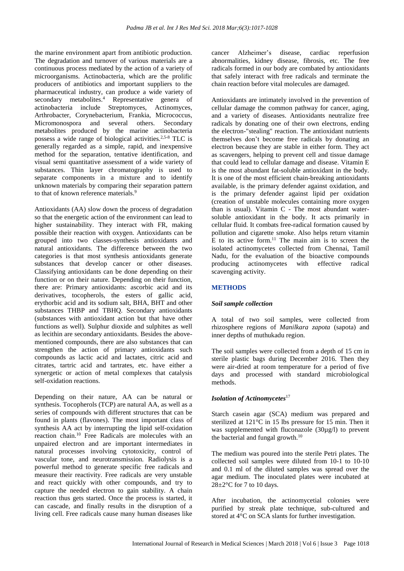the marine environment apart from antibiotic production. The degradation and turnover of various materials are a continuous process mediated by the action of a variety of microorganisms. Actinobacteria, which are the prolific producers of antibiotics and important suppliers to the pharmaceutical industry, can produce a wide variety of secondary metabolites. <sup>4</sup> Representative genera of actinobacteria include Streptomyces, Actinomyces, Arthrobacter, Corynebacterium, Frankia, Micrococcus, Micromonospora and several others. Secondary metabolites produced by the marine actinobacteria possess a wide range of biological activities. 2,5-8 TLC is generally regarded as a simple, rapid, and inexpensive method for the separation, tentative identification, and visual semi quantitative assessment of a wide variety of substances. Thin layer chromatography is used to separate components in a mixture and to identify unknown materials by comparing their separation pattern to that of known reference materials. 9

Antioxidants (AA) slow down the process of degradation so that the energetic action of the environment can lead to higher sustainability. They interact with FR, making possible their reaction with oxygen. Antioxidants can be grouped into two classes-synthesis antioxidants and natural antioxidants. The difference between the two categories is that most synthesis antioxidants generate substances that develop cancer or other diseases. Classifying antioxidants can be done depending on their function or on their nature. Depending on their function, there are: Primary antioxidants: ascorbic acid and its derivatives, tocopherols, the esters of gallic acid, erythorbic acid and its sodium salt, BHA, BHT and other substances THBP and TBHQ. Secondary antioxidants (substances with antioxidant action but that have other functions as well). Sulphur dioxide and sulphites as well as lecithin are secondary antioxidants. Besides the abovementioned compounds, there are also substances that can strengthen the action of primary antioxidants such compounds as lactic acid and lactates, citric acid and citrates, tartric acid and tartrates, etc. have either a synergetic or action of metal complexes that catalysis self-oxidation reactions.

Depending on their nature, AA can be natural or synthesis. Tocopherols (TCP) are natural AA, as well as a series of compounds with different structures that can be found in plants (flavones). The most important class of synthesis AA act by interrupting the lipid self-oxidation reaction chain. <sup>10</sup> Free Radicals are molecules with an unpaired electron and are important intermediates in natural processes involving cytotoxicity, control of vascular tone, and neurotransmission. Radiolysis is a powerful method to generate specific free radicals and measure their reactivity. Free radicals are very unstable and react quickly with other compounds, and try to capture the needed electron to gain stability. A chain reaction thus gets started. Once the process is started, it can cascade, and finally results in the disruption of a living cell. Free radicals cause many human diseases like cancer Alzheimer's disease, cardiac reperfusion abnormalities, kidney disease, fibrosis, etc. The free radicals formed in our body are combated by antioxidants that safely interact with free radicals and terminate the chain reaction before vital molecules are damaged.

Antioxidants are intimately involved in the prevention of cellular damage the common pathway for cancer, aging, and a variety of diseases. Antioxidants neutralize free radicals by donating one of their own electrons, ending the electron-"stealing" reaction. The antioxidant nutrients themselves don't become free radicals by donating an electron because they are stable in either form. They act as scavengers, helping to prevent cell and tissue damage that could lead to cellular damage and disease. Vitamin E is the most abundant fat-soluble antioxidant in the body. It is one of the most efficient chain-breaking antioxidants available, is the primary defender against oxidation, and is the primary defender against lipid per oxidation (creation of unstable molecules containing more oxygen than is usual). Vitamin C - The most abundant watersoluble antioxidant in the body. It acts primarily in cellular fluid. It combats free-radical formation caused by pollution and cigarette smoke. Also helps return vitamin E to its active form. <sup>11</sup> The main aim is to screen the isolated actinomycetes collected from Chennai, Tamil Nadu, for the evaluation of the bioactive compounds producing actinomycetes with effective radical scavenging activity.

# **METHODS**

#### *Soil sample collection*

A total of two soil samples, were collected from rhizosphere regions of *Manilkara zapota* (sapota) and inner depths of muthukadu region.

The soil samples were collected from a depth of 15 cm in sterile plastic bags during December 2016. Then they were air-dried at room temperature for a period of five days and processed with standard microbiological methods.

#### *Isolation of Actinomycetes*<sup>17</sup>

Starch casein agar (SCA) medium was prepared and sterilized at 121°C in 15 lbs pressure for 15 min. Then it was supplemented with fluconazole (30µg/l) to prevent the bacterial and fungal growth.<sup>10</sup>

The medium was poured into the sterile Petri plates. The collected soil samples were diluted from 10-1 to 10-10 and 0.1 ml of the diluted samples was spread over the agar medium. The inoculated plates were incubated at  $28\pm2\degree$ C for 7 to 10 days.

After incubation, the actinomycetial colonies were purified by streak plate technique, sub-cultured and stored at 4°C on SCA slants for further investigation.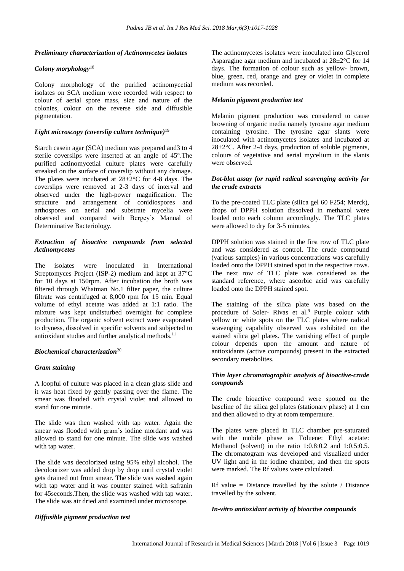# *Preliminary characterization of Actinomycetes isolates*

# *Colony morphology*<sup>18</sup>

Colony morphology of the purified actinomycetial isolates on SCA medium were recorded with respect to colour of aerial spore mass, size and nature of the colonies, colour on the reverse side and diffusible pigmentation.

# *Light microscopy (coverslip culture technique)* 19

Starch casein agar (SCA) medium was prepared and3 to 4 sterile coverslips were inserted at an angle of 45°.The purified actinomycetial culture plates were carefully streaked on the surface of coverslip without any damage. The plates were incubated at 28±2°C for 4-8 days. The coverslips were removed at 2-3 days of interval and observed under the high-power magnification. The structure and arrangement of conidiospores and arthospores on aerial and substrate mycelia were observed and compared with Bergey's Manual of Determinative Bacteriology.

# *Extraction of bioactive compounds from selected Actinomycetes*

The isolates were inoculated in International Streptomyces Project (ISP-2) medium and kept at 37°C for 10 days at 150rpm. After incubation the broth was filtered through Whatman No.1 filter paper, the culture filtrate was centrifuged at 8,000 rpm for 15 min. Equal volume of ethyl acetate was added at 1:1 ratio. The mixture was kept undisturbed overnight for complete production. The organic solvent extract were evaporated to dryness, dissolved in specific solvents and subjected to antioxidant studies and further analytical methods.<sup>11</sup>

#### *Biochemical characterization*<sup>20</sup>

#### *Gram staining*

A loopful of culture was placed in a clean glass slide and it was heat fixed by gently passing over the flame. The smear was flooded with crystal violet and allowed to stand for one minute.

The slide was then washed with tap water. Again the smear was flooded with gram's iodine mordant and was allowed to stand for one minute. The slide was washed with tap water.

The slide was decolorized using 95% ethyl alcohol. The decolourizer was added drop by drop until crystal violet gets drained out from smear. The slide was washed again with tap water and it was counter stained with safranin for 45seconds.Then, the slide was washed with tap water. The slide was air dried and examined under microscope.

The actinomycetes isolates were inoculated into Glycerol Asparagine agar medium and incubated at 28±2°C for 14 days. The formation of colour such as yellow- brown, blue, green, red, orange and grey or violet in complete medium was recorded.

# *Melanin pigment production test*

Melanin pigment production was considered to cause browning of organic media namely tyrosine agar medium containing tyrosine. The tyrosine agar slants were inoculated with actinomycetes isolates and incubated at  $28 \pm 2$ °C. After 2-4 days, production of soluble pigments, colours of vegetative and aerial mycelium in the slants were observed.

#### *Dot-blot assay for rapid radical scavenging activity for the crude extracts*

To the pre-coated TLC plate (silica gel 60 F254; Merck), drops of DPPH solution dissolved in methanol were loaded onto each column accordingly. The TLC plates were allowed to dry for 3-5 minutes.

DPPH solution was stained in the first row of TLC plate and was considered as control. The crude compound (various samples) in various concentrations was carefully loaded onto the DPPH stained spot in the respective rows. The next row of TLC plate was considered as the standard reference, where ascorbic acid was carefully loaded onto the DPPH stained spot.

The staining of the silica plate was based on the procedure of Soler- Rivas et al. <sup>9</sup> Purple colour with yellow or white spots on the TLC plates where radical scavenging capability observed was exhibited on the stained silica gel plates. The vanishing effect of purple colour depends upon the amount and nature of antioxidants (active compounds) present in the extracted secondary metabolites.

# *Thin layer chromatographic analysis of bioactive-crude compounds*

The crude bioactive compound were spotted on the baseline of the silica gel plates (stationary phase) at 1 cm and then allowed to dry at room temperature.

The plates were placed in TLC chamber pre-saturated with the mobile phase as Toluene: Ethyl acetate: Methanol (solvent) in the ratio 1:0.8:0.2 and 1:0.5:0.5. The chromatogram was developed and visualized under UV light and in the iodine chamber, and then the spots were marked. The Rf values were calculated.

Rf value = Distance travelled by the solute / Distance travelled by the solvent.

#### *In-vitro antioxidant activity of bioactive compounds*

#### *Diffusible pigment production test*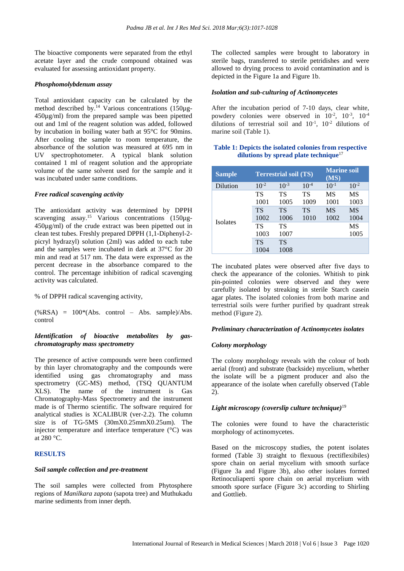The bioactive components were separated from the ethyl acetate layer and the crude compound obtained was evaluated for assessing antioxidant property.

#### *Phosphomolybdenum assay*

Total antioxidant capacity can be calculated by the method described by.<sup>14</sup> Various concentrations (150µg-450µg/ml) from the prepared sample was been pipetted out and 1ml of the reagent solution was added, followed by incubation in boiling water bath at 95°C for 90mins. After cooling the sample to room temperature, the absorbance of the solution was measured at 695 nm in UV spectrophotometer. A typical blank solution contained 1 ml of reagent solution and the appropriate volume of the same solvent used for the sample and it was incubated under same conditions.

# *Free radical scavenging activity*

The antioxidant activity was determined by DPPH scavenging assay.<sup>15</sup> Various concentrations (150µg-450µg/ml) of the crude extract was been pipetted out in clean test tubes. Freshly prepared DPPH (1,1-Diphenyl-2 picryl hydrazyl) solution (2ml) was added to each tube and the samples were incubated in dark at 37°C for 20 min and read at 517 nm. The data were expressed as the percent decrease in the absorbance compared to the control. The percentage inhibition of radical scavenging activity was calculated.

% of DPPH radical scavenging activity,

 $(\%$ RSA) = 100<sup>\*</sup>(Abs. control – Abs. sample)/Abs. control

# *Identification of bioactive metabolites by gaschromatography mass spectrometry*

The presence of active compounds were been confirmed by thin layer chromatography and the compounds were identified using gas chromatography and mass spectrometry (GC-MS) method, (TSQ QUANTUM XLS). The name of the instrument is Gas Chromatography-Mass Spectrometry and the instrument made is of Thermo scientific. The software required for analytical studies is XCALIBUR (ver-2.2). The column size is of TG-5MS (30mX0.25mmX0.25um). The injector temperature and interface temperature (°C) was at 280 °C.

# **RESULTS**

# *Soil sample collection and pre-treatment*

The soil samples were collected from Phytosphere regions of *Manilkara zapota* (sapota tree) and Muthukadu marine sediments from inner depth.

The collected samples were brought to laboratory in sterile bags, transferred to sterile petridishes and were allowed to drying process to avoid contamination and is depicted in the Figure 1a and Figure 1b.

# *Isolation and sub-culturing of Actinomycetes*

After the incubation period of 7-10 days, clear white, powdery colonies were observed in  $10^{-2}$ ,  $10^{-3}$ ,  $10^{-4}$ dilutions of terrestrial soil and  $10^{-1}$ ,  $10^{-2}$  dilutions of marine soil (Table 1).

# **Table 1: Depicts the isolated colonies from respective dilutions by spread plate technique**<sup>17</sup>

| <b>Sample</b>   |           | <b>Terrestrial soil (TS)</b> |           | <b>Marine soil</b><br>(MS) |           |
|-----------------|-----------|------------------------------|-----------|----------------------------|-----------|
| Dilution        | $10^{-2}$ | $10^{-3}$                    | $10^{-4}$ | $10^{-1}$                  | $10^{-2}$ |
|                 | TS        | TS                           | TS        | MS                         | MS        |
| <b>Isolates</b> | 1001      | 1005                         | 1009      | 1001                       | 1003      |
|                 | <b>TS</b> | <b>TS</b>                    | <b>TS</b> | <b>MS</b>                  | <b>MS</b> |
|                 | 1002      | 1006                         | 1010      | 1002                       | 1004      |
|                 | TS        | TS                           |           |                            | MS        |
|                 | 1003      | 1007                         |           |                            | 1005      |
|                 | <b>TS</b> | TS                           |           |                            |           |
|                 | 1004      | 1008                         |           |                            |           |

The incubated plates were observed after five days to check the appearance of the colonies. Whitish to pink pin-pointed colonies were observed and they were carefully isolated by streaking in sterile Starch casein agar plates. The isolated colonies from both marine and terrestrial soils were further purified by quadrant streak method (Figure 2).

# *Preliminary characterization of Actinomycetes isolates*

# *Colony morphology*

The colony morphology reveals with the colour of both aerial (front) and substrate (backside) mycelium, whether the isolate will be a pigment producer and also the appearance of the isolate when carefully observed (Table  $2)$ 

#### *Light microscopy (coverslip culture technique)* 19

The colonies were found to have the characteristic morphology of actinomycetes.

Based on the microscopy studies, the potent isolates formed (Table 3) straight to flexuous (rectiflexibiles) spore chain on aerial mycelium with smooth surface (Figure 3a and Figure 3b), also other isolates formed Retinoculiaperti spore chain on aerial mycelium with smooth spore surface (Figure 3c) according to Shirling and Gottlieb.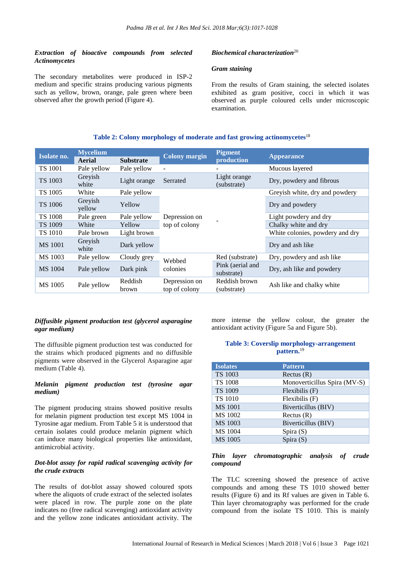# *Extraction of bioactive compounds from selected Actinomycetes*

The secondary metabolites were produced in ISP-2 medium and specific strains producing various pigments such as yellow, brown, orange, pale green where been observed after the growth period (Figure 4).

# *Biochemical characterization*<sup>20</sup>

# *Gram staining*

From the results of Gram staining, the selected isolates exhibited as gram positive, cocci in which it was observed as purple coloured cells under microscopic examination.

# **Table 2: Colony morphology of moderate and fast growing actinomycetes**<sup>18</sup>

| Isolate no.    | <b>Mycelium</b><br>Aerial | <b>Substrate</b> | <b>Colony margin</b>                    | <b>Pigment</b><br>production   | <b>Appearance</b>               |
|----------------|---------------------------|------------------|-----------------------------------------|--------------------------------|---------------------------------|
| <b>TS 1001</b> | Pale yellow               | Pale yellow      |                                         |                                | Mucous layered                  |
| TS 1003        | Greyish<br>white          | Light orange     | Light orange<br>Serrated<br>(substrate) |                                | Dry, powdery and fibrous        |
| TS 1005        | White                     | Pale yellow      |                                         |                                | Greyish white, dry and powdery  |
| <b>TS 1006</b> | Grevish<br>yellow         | Yellow           | Depression on<br>top of colony          |                                | Dry and powdery                 |
| <b>TS 1008</b> | Pale green                | Pale yellow      |                                         |                                | Light powdery and dry           |
| <b>TS 1009</b> | White                     | Yellow           |                                         |                                | Chalky white and dry            |
| TS 1010        | Pale brown                | Light brown      |                                         |                                | White colonies, powdery and dry |
| <b>MS</b> 1001 | Greyish<br>white          | Dark yellow      |                                         |                                | Dry and ash like                |
| MS 1003        | Pale yellow               | Cloudy grey      | Webbed                                  | Red (substrate)                | Dry, powdery and ash like       |
| MS 1004        | Pale yellow               | Dark pink        | colonies                                | Pink (aerial and<br>substrate) | Dry, ash like and powdery       |
| MS 1005        | Pale yellow               | Reddish<br>brown | Depression on<br>top of colony          | Reddish brown<br>(substrate)   | Ash like and chalky white       |

#### *Diffusible pigment production test (glycerol asparagine agar medium)*

The diffusible pigment production test was conducted for the strains which produced pigments and no diffusible pigments were observed in the Glycerol Asparagine agar medium (Table 4).

# *Melanin pigment production test (tyrosine agar medium)*

The pigment producing strains showed positive results for melanin pigment production test except MS 1004 in Tyrosine agar medium. From Table 5 it is understood that certain isolates could produce melanin pigment which can induce many biological properties like antioxidant, antimicrobial activity.

# *Dot-blot assay for rapid radical scavenging activity for the crude extracts*

The results of dot-blot assay showed coloured spots where the aliquots of crude extract of the selected isolates were placed in row. The purple zone on the plate indicates no (free radical scavenging) antioxidant activity and the yellow zone indicates antioxidant activity. The

more intense the yellow colour, the greater the antioxidant activity (Figure 5a and Figure 5b).

#### **Table 3: Coverslip morphology-arrangement pattern.** 19

| <b>Isolates</b> | <b>Pattern</b>               |
|-----------------|------------------------------|
| TS 1003         | Rectus $(R)$                 |
| <b>TS 1008</b>  | Monoverticillus Spira (MV-S) |
| TS 1009         | $F$ lexibilis $(F)$          |
| <b>TS 1010</b>  | $F$ lexibilis $(F)$          |
| <b>MS</b> 1001  | Biverticillus (BIV)          |
| MS 1002         | Rectus $(R)$                 |
| <b>MS 1003</b>  | Biverticillus (BIV)          |
| MS 1004         | Spira $(S)$                  |
| MS 1005         | Spira $(S)$                  |

#### *Thin layer chromatographic analysis of crude compound*

The TLC screening showed the presence of active compounds and among these TS 1010 showed better results (Figure 6) and its Rf values are given in Table 6. Thin layer chromatography was performed for the crude compound from the isolate TS 1010. This is mainly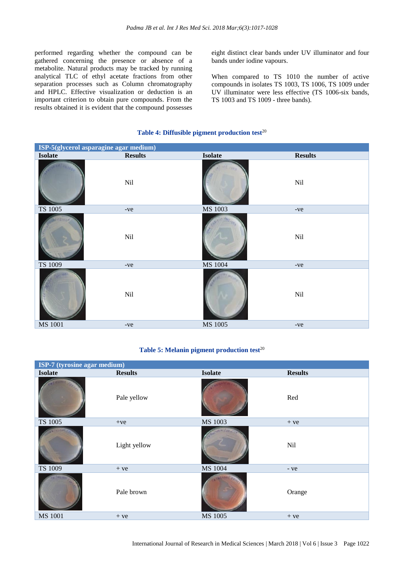performed regarding whether the compound can be gathered concerning the presence or absence of a metabolite. Natural products may be tracked by running analytical TLC of ethyl acetate fractions from other separation processes such as Column chromatography and HPLC. Effective visualization or deduction is an important criterion to obtain pure compounds. From the results obtained it is evident that the compound possesses eight distinct clear bands under UV illuminator and four bands under iodine vapours.

When compared to TS 1010 the number of active compounds in isolates TS 1003, TS 1006, TS 1009 under UV illuminator were less effective (TS 1006-six bands, TS 1003 and TS 1009 - three bands).

# **Table 4: Diffusible pigment production test**<sup>20</sup>

| ISP-5(glycerol asparagine agar medium) |                |                |                |  |
|----------------------------------------|----------------|----------------|----------------|--|
| <b>Isolate</b>                         | <b>Results</b> | <b>Isolate</b> | <b>Results</b> |  |
|                                        | Nil            |                | Nil            |  |
| TS 1005                                | -ve            | MS 1003        | -ve            |  |
|                                        | $\rm{Nil}$     |                | Nil            |  |
| TS 1009                                | -ve            | MS 1004        | -ve            |  |
|                                        | Nil            |                | Nil            |  |
| MS 1001                                | $-ve$          | MS 1005        | $-ve$          |  |

# **Table 5: Melanin pigment production test**<sup>20</sup>

| ISP-7 (tyrosine agar medium) |                |                |                |  |
|------------------------------|----------------|----------------|----------------|--|
| <b>Isolate</b>               | <b>Results</b> | <b>Isolate</b> | <b>Results</b> |  |
|                              | Pale yellow    |                | Red            |  |
| TS 1005                      | $+ve$          | MS 1003        | $+ve$          |  |
|                              | Light yellow   |                | Nil            |  |
| TS 1009                      | $+ve$          | MS 1004        | $-ve$          |  |
|                              | Pale brown     |                | Orange         |  |
| <b>MS 1001</b>               | $+ve$          | MS 1005        | $+ve$          |  |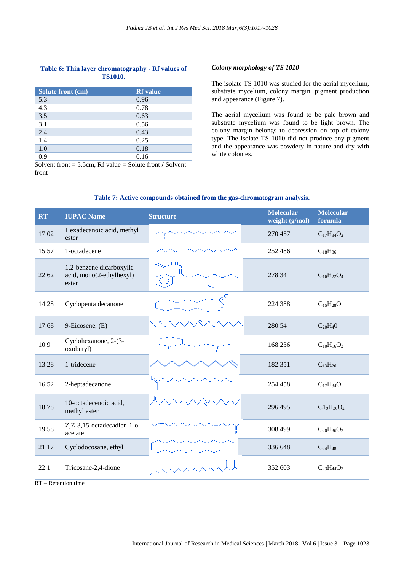# **Table 6: Thin layer chromatography - Rf values of TS1010.**

| Solute front (cm) | <b>Rf</b> value |
|-------------------|-----------------|
| 5.3               | 0.96            |
| 4.3               | 0.78            |
| 3.5               | 0.63            |
| 3.1               | 0.56            |
| 2.4               | 0.43            |
| 1.4               | 0.25            |
| 1.0               | 0.18            |
| 0.9               | 0.16            |

Solvent front = 5.5cm, Rf value = Solute front **/** Solvent front

#### *Colony morphology of TS 1010*

The isolate TS 1010 was studied for the aerial mycelium, substrate mycelium, colony margin, pigment production and appearance (Figure 7).

The aerial mycelium was found to be pale brown and substrate mycelium was found to be light brown. The colony margin belongs to depression on top of colony type. The isolate TS 1010 did not produce any pigment and the appearance was powdery in nature and dry with white colonies.

| <b>RT</b> | <b>IUPAC Name</b>                                             | <b>Structure</b> | <b>Molecular</b><br>weight (g/mol) | <b>Molecular</b><br>formula |
|-----------|---------------------------------------------------------------|------------------|------------------------------------|-----------------------------|
| 17.02     | Hexadecanoic acid, methyl<br>ester                            |                  | 270.457                            | $C_{17}H_{34}O_2$           |
| 15.57     | 1-octadecene                                                  |                  | 252.486                            | $C_{18}H_{36}$              |
| 22.62     | 1,2-benzene dicarboxylic<br>acid, mono(2-ethylhexyl)<br>ester | HO.<br>о.<br>Ω   | 278.34                             | $C_{16}H_{22}O_4$           |
| 14.28     | Cyclopenta decanone                                           |                  | 224.388                            | $C_{15}H_{28}O$             |
| 17.68     | 9-Eicosene, (E)                                               |                  | 280.54                             | $C_{20}H_40$                |
| 10.9      | Cyclohexanone, 2-(3-<br>oxobutyl)                             | U<br>g           | 168.236                            | $C_{10}H_{16}O_2$           |
| 13.28     | 1-tridecene                                                   |                  | 182.351                            | $C_{13}H_{26}$              |
| 16.52     | 2-heptadecanone                                               |                  | 254.458                            | $C_{17}H_{34}O$             |
| 18.78     | 10-octadecenoic acid,<br>methyl ester                         |                  | 296.495                            | $C1_9H_{36}O_2$             |
| 19.58     | Z,Z-3,15-octadecadien-1-ol<br>acetate                         |                  | 308.499                            | $C_{20}H_{36}O_2$           |
| 21.17     | Cyclodocosane, ethyl                                          |                  | 336.648                            | $C_{24}H_{48}$              |
| 22.1      | Tricosane-2,4-dione                                           |                  | 352.603                            | $C_{23}H_{44}O_2$           |

# **Table 7: Active compounds obtained from the gas-chromatogram analysis.**

RT – Retention time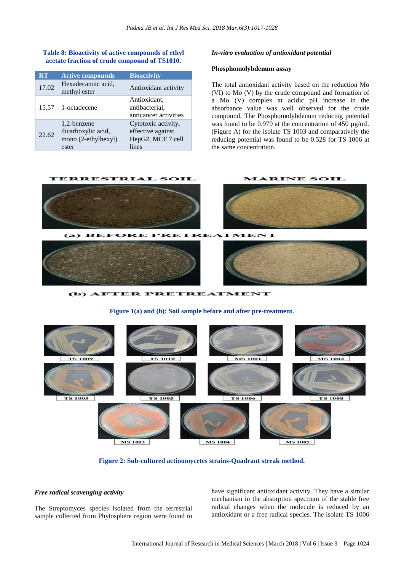#### **Table 8: Bioactivity of active compounds of ethyl acetate fraction of crude compound of TS1010.**

| <b>RT</b> | <b>Active compounds</b>                                           | <b>Bioactivity</b>                                                     |
|-----------|-------------------------------------------------------------------|------------------------------------------------------------------------|
| 17.02     | Hexadecanoic acid,<br>methyl ester                                | Antioxidant activity                                                   |
|           | 15.57 1-octadecene                                                | Antioxidant,<br>antibacterial,<br>anticancer activities                |
| 22.62     | 1,2-benzene<br>dicarboxylic acid,<br>mono (2-ethylhexyl)<br>ester | Cytotoxic activity,<br>effective against<br>HepG2, MCF 7 cell<br>lines |

#### *In-vitro evaluation of antioxidant potential*

#### **Phosphomolybdenum assay**

The total antioxidant activity based on the reduction Mo (VI) to Mo (V) by the crude compound and formation of a Mo (V) complex at acidic pH increase in the absorbance value was well observed for the crude compound. The Phosphomolybdenum reducing potential was found to be 0.979 at the concentration of 450  $\mu$ g/mL (Figure A) for the isolate TS 1003 and comparatively the reducing potential was found to be 0.528 for TS 1006 at the same concentration.



(b) AFTER PRETREATMENT

**Figure 1(a) and (b): Soil sample before and after pre-treatment.**



**Figure 2: Sub-cultured actinomycetes strains-Quadrant streak method.**

#### *Free radical scavenging activity*

The Streptomyces species isolated from the terrestrial sample collected from Phytosphere region were found to have significant antioxidant activity. They have a similar mechanism in the absorption spectrum of the stable free radical changes when the molecule is reduced by an antioxidant or a free radical species. The isolate TS 1006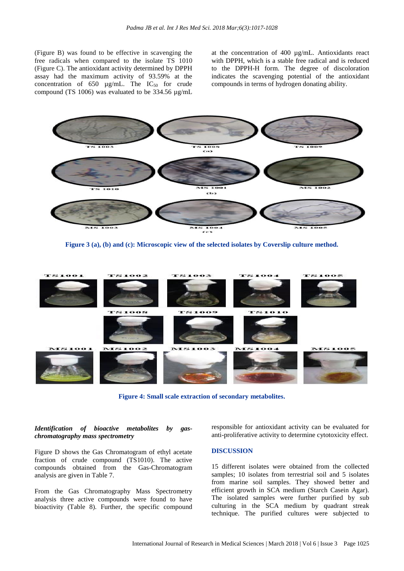(Figure B) was found to be effective in scavenging the free radicals when compared to the isolate TS 1010 (Figure C). The antioxidant activity determined by DPPH assay had the maximum activity of 93.59% at the concentration of  $650 \mu g/mL$ . The IC<sub>50</sub> for crude compound (TS 1006) was evaluated to be 334.56 µg/mL at the concentration of 400 µg/mL. Antioxidants react with DPPH, which is a stable free radical and is reduced to the DPPH-H form. The degree of discoloration indicates the scavenging potential of the antioxidant compounds in terms of hydrogen donating ability.



**Figure 3 (a), (b) and (c): Microscopic view of the selected isolates by Coverslip culture method.**



**Figure 4: Small scale extraction of secondary metabolites.**

# *Identification of bioactive metabolites by gaschromatography mass spectrometry*

Figure D shows the Gas Chromatogram of ethyl acetate fraction of crude compound (TS1010). The active compounds obtained from the Gas-Chromatogram analysis are given in Table 7.

From the Gas Chromatography Mass Spectrometry analysis three active compounds were found to have bioactivity (Table 8). Further, the specific compound responsible for antioxidant activity can be evaluated for anti-proliferative activity to determine cytotoxicity effect.

# **DISCUSSION**

15 different isolates were obtained from the collected samples; 10 isolates from terrestrial soil and 5 isolates from marine soil samples. They showed better and efficient growth in SCA medium (Starch Casein Agar). The isolated samples were further purified by sub culturing in the SCA medium by quadrant streak technique. The purified cultures were subjected to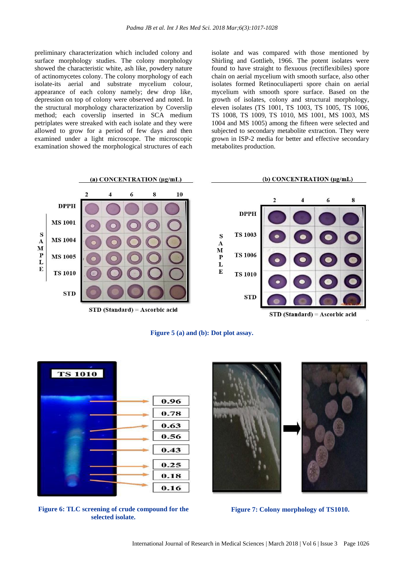preliminary characterization which included colony and surface morphology studies. The colony morphology showed the characteristic white, ash like, powdery nature of actinomycetes colony. The colony morphology of each isolate-its aerial and substrate mycelium colour, appearance of each colony namely; dew drop like, depression on top of colony were observed and noted. In the structural morphology characterization by Coverslip method; each coverslip inserted in SCA medium petriplates were streaked with each isolate and they were allowed to grow for a period of few days and then examined under a light microscope. The microscopic examination showed the morphological structures of each isolate and was compared with those mentioned by Shirling and Gottlieb, 1966. The potent isolates were found to have straight to flexuous (rectiflexibiles) spore chain on aerial mycelium with smooth surface, also other isolates formed Retinoculiaperti spore chain on aerial mycelium with smooth spore surface. Based on the growth of isolates, colony and structural morphology, eleven isolates (TS 1001, TS 1003, TS 1005, TS 1006, TS 1008, TS 1009, TS 1010, MS 1001, MS 1003, MS 1004 and MS 1005) among the fifteen were selected and subjected to secondary metabolite extraction. They were grown in ISP-2 media for better and effective secondary metabolites production.

#### (b) CONCENTRATION (ug/mL)



#### **Figure 5 (a) and (b): Dot plot assay.**



**Figure 6: TLC screening of crude compound for the selected isolate.**



**Figure 7: Colony morphology of TS1010.**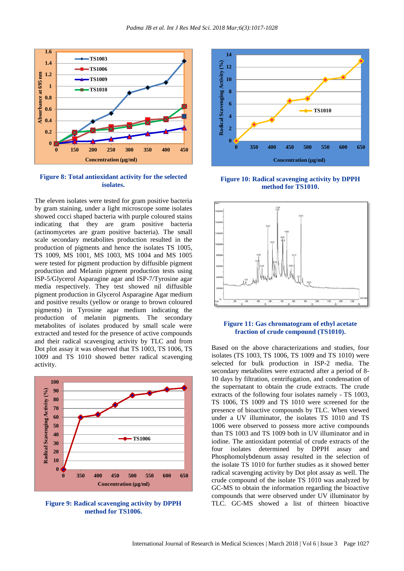

**Figure 8: Total antioxidant activity for the selected isolates.**

The eleven isolates were tested for gram positive bacteria by gram staining, under a light microscope some isolates showed cocci shaped bacteria with purple coloured stains indicating that they are gram positive bacteria (actinomycetes are gram positive bacteria). The small scale secondary metabolites production resulted in the production of pigments and hence the isolates TS 1005, TS 1009, MS 1001, MS 1003, MS 1004 and MS 1005 were tested for pigment production by diffusible pigment production and Melanin pigment production tests using ISP-5/Glycerol Asparagine agar and ISP-7/Tyrosine agar media respectively. They test showed nil diffusible pigment production in Glycerol Asparagine Agar medium and positive results (yellow or orange to brown coloured pigments) in Tyrosine agar medium indicating the production of melanin pigments. The secondary metabolites of isolates produced by small scale were extracted and tested for the presence of active compounds and their radical scavenging activity by TLC and from Dot plot assay it was observed that TS 1003, TS 1006, TS 1009 and TS 1010 showed better radical scavenging activity.



**Figure 9: Radical scavenging activity by DPPH method for TS1006.**



**Figure 10: Radical scavenging activity by DPPH method for TS1010.**



# **Figure 11: Gas chromatogram of ethyl acetate fraction of crude compound (TS1010).**

Based on the above characterizations and studies, four isolates (TS 1003, TS 1006, TS 1009 and TS 1010) were selected for bulk production in ISP-2 media. The secondary metabolites were extracted after a period of 8- 10 days by filtration, centrifugation, and condensation of the supernatant to obtain the crude extracts. The crude extracts of the following four isolates namely - TS 1003, TS 1006, TS 1009 and TS 1010 were screened for the presence of bioactive compounds by TLC. When viewed under a UV illuminator, the isolates TS 1010 and TS 1006 were observed to possess more active compounds than TS 1003 and TS 1009 both in UV illuminator and in iodine. The antioxidant potential of crude extracts of the four isolates determined by DPPH assay and Phosphomolybdenum assay resulted in the selection of the isolate TS 1010 for further studies as it showed better radical scavenging activity by Dot plot assay as well. The crude compound of the isolate TS 1010 was analyzed by GC-MS to obtain the information regarding the bioactive compounds that were observed under UV illuminator by TLC. GC-MS showed a list of thirteen bioactive